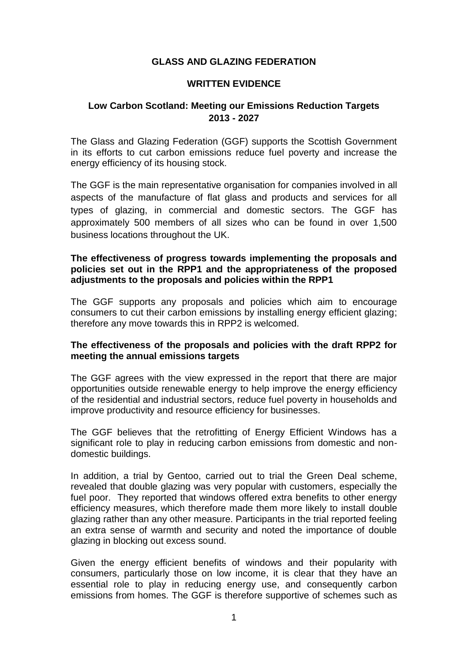## **GLASS AND GLAZING FEDERATION**

### **WRITTEN EVIDENCE**

# **Low Carbon Scotland: Meeting our Emissions Reduction Targets 2013 - 2027**

The Glass and Glazing Federation (GGF) supports the Scottish Government in its efforts to cut carbon emissions reduce fuel poverty and increase the energy efficiency of its housing stock.

The GGF is the main representative organisation for companies involved in all aspects of the manufacture of flat glass and products and services for all types of glazing, in commercial and domestic sectors. The GGF has approximately 500 members of all sizes who can be found in over 1,500 business locations throughout the UK.

### **The effectiveness of progress towards implementing the proposals and policies set out in the RPP1 and the appropriateness of the proposed adjustments to the proposals and policies within the RPP1**

The GGF supports any proposals and policies which aim to encourage consumers to cut their carbon emissions by installing energy efficient glazing; therefore any move towards this in RPP2 is welcomed.

### **The effectiveness of the proposals and policies with the draft RPP2 for meeting the annual emissions targets**

The GGF agrees with the view expressed in the report that there are major opportunities outside renewable energy to help improve the energy efficiency of the residential and industrial sectors, reduce fuel poverty in households and improve productivity and resource efficiency for businesses.

The GGF believes that the retrofitting of Energy Efficient Windows has a significant role to play in reducing carbon emissions from domestic and nondomestic buildings.

In addition, a trial by Gentoo, carried out to trial the Green Deal scheme, revealed that double glazing was very popular with customers, especially the fuel poor. They reported that windows offered extra benefits to other energy efficiency measures, which therefore made them more likely to install double glazing rather than any other measure. Participants in the trial reported feeling an extra sense of warmth and security and noted the importance of double glazing in blocking out excess sound.

Given the energy efficient benefits of windows and their popularity with consumers, particularly those on low income, it is clear that they have an essential role to play in reducing energy use, and consequently carbon emissions from homes. The GGF is therefore supportive of schemes such as